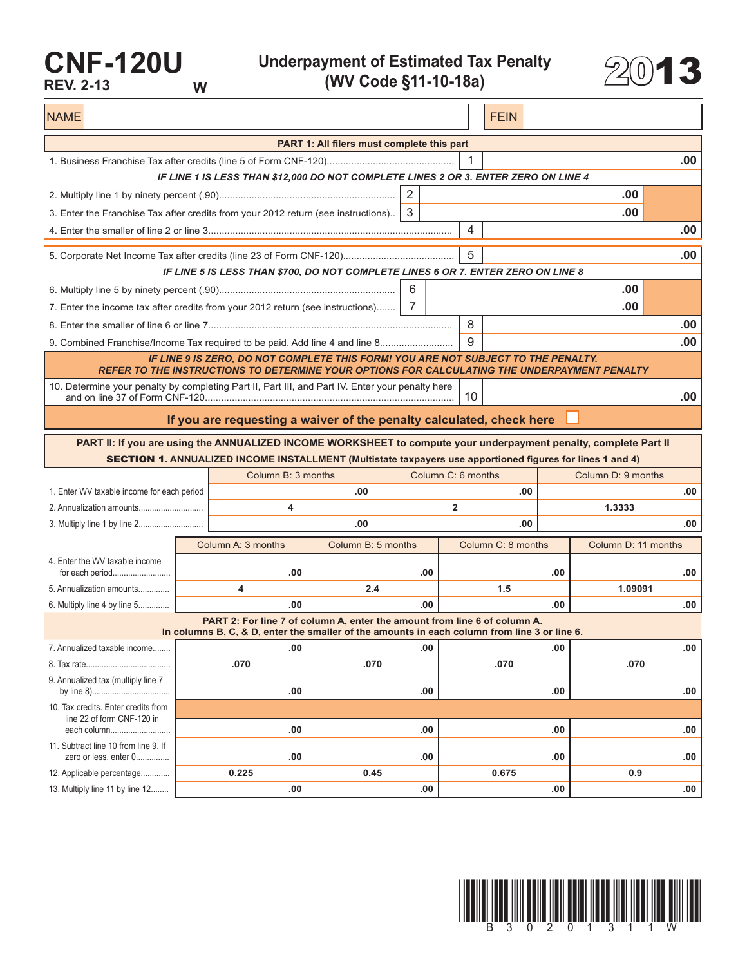## **CNF-120U REV. 2-13 W**

**Underpayment of Estimated Tax Penalty (WV Code §11-10-18a)** 2013



NAME FEIN AND RESERVE THE SERVE THAT IS A REPORT OF THE SERVE THAT IS A REPORT OF THE SERVE THAT IS A REPORT OF THE SERVE THAT IS A REPORT OF THE SERVE THAT IS A REPORT OF THE SERVE THAT IS A REPORT OF THE SERVE THAT IS A **PART 1: All filers must complete this part** 1. Business Franchise Tax after credits (line 5 of Form CNF-120)............................................... 1 **.00** *IF LINE 1 IS LESS THAN \$12,000 DO NOT COMPLETE LINES 2 OR 3. ENTER ZERO ON LINE 4* 2. Multiply line 1 by ninety percent (.90)................................................................. 2 **.00** 3. Enter the Franchise Tax after credits from your 2012 return (see instructions).. 3 **.00** 4. Enter the smaller of line 2 or line 3.......................................................................................... 4 **.00** 5. Corporate Net Income Tax after credits (line 23 of Form CNF-120)......................................... 5 **.00** *IF LINE 5 IS LESS THAN \$700, DO NOT COMPLETE LINES 6 OR 7. ENTER ZERO ON LINE 8* 6. Multiply line 5 by ninety percent (.90)................................................................. 6 **.00** 7. Enter the income tax after credits from your 2012 return (see instructions)....... 7 **.00** 8. Enter the smaller of line 6 or line 7.......................................................................................... 8 **.00** 9. Combined Franchise/Income Tax required to be paid. Add line 4 and line 8........................... 9 **.00** *IF LINE 9 IS ZERO, DO NOT COMPLETE THIS FORM! YOU ARE NOT SUBJECT TO THE PENALTY. REFER TO THE INSTRUCTIONS TO DETERMINE YOUR OPTIONS FOR CALCULATING THE UNDERPAYMENT PENALTY* 10. Determine your penalty by completing Part II, Part III, and Part IV. Enter your penalty here and on line 37 of Form CNF-120............................................................................................ 10 **.00 If you are requesting a waiver of the penalty calculated, check here PART II: If you are using the ANNUALIZED INCOME WORKSHEET to compute your underpayment penalty, complete Part II** SECTION 1**. ANNUALIZED INCOME INSTALLMENT (Multistate taxpayers use apportioned figures for lines 1 and 4)** Column B: 3 months Column C: 6 months Column D: 9 months 1. Enter WV taxable income for each period **.00 .00 .00** 2. Annualization amounts............................. **4 2 1.3333** 3. Multiply line 1 by line 2............................. **.00 .00 .00** Column A: 3 months | Column B: 5 months | Column C: 8 months | Column D: 11 months 4. Enter the WV taxable income for each period.......................... **.00 .00 .00 .00** 5. Annualization amounts.............. **4 2.4 1.5 1.09091** 6. Multiply line 4 by line 5.............. **.00 .00 .00 .00 PART 2: For line 7 of column A, enter the amount from line 6 of column A. In columns B, C, & D, enter the smaller of the amounts in each column from line 3 or line 6.** 7. Annualized taxable income........ **.00 .00 .00 .00** 8. Tax rate...................................... **.070 .070 .070 .070** 9. Annualized tax (multiply line 7 by line 8)................................... **.00 .00 .00 .00** 10. Tax credits. Enter credits from line 22 of form CNF-120 in each column........................... **.00 .00 .00 .00** 11. Subtract line 10 from line 9. If zero or less, enter 0............... **.00 .00 .00 .00** 12. Applicable percentage............. **0.225 0.45 0.675 0.9** 13. Multiply line 11 by line 12........ **.00 .00 .00 .00**

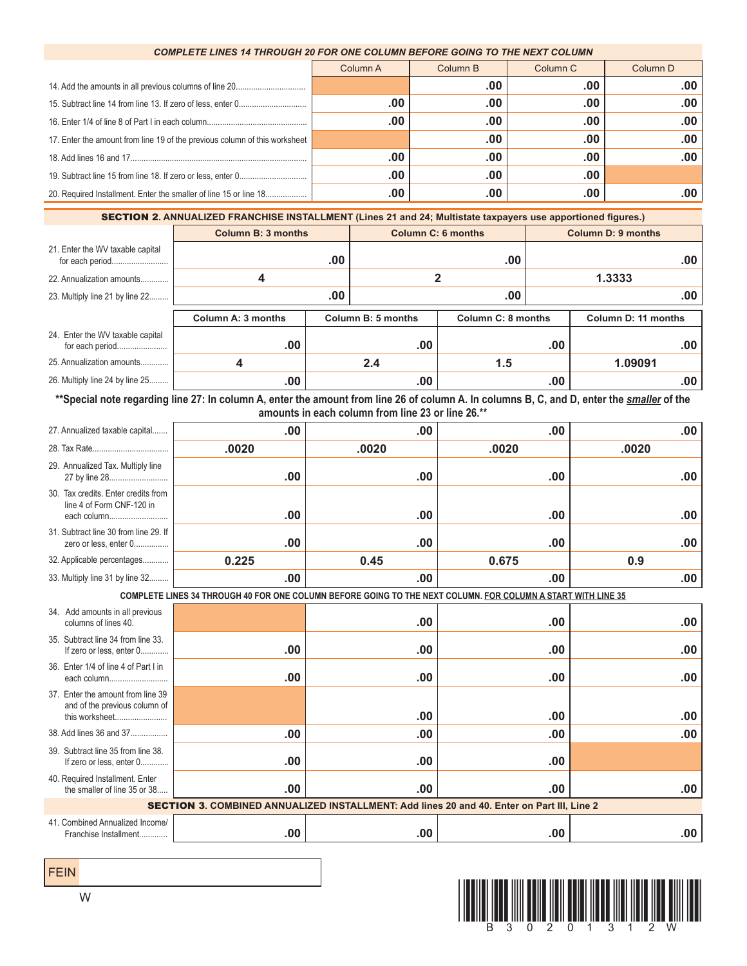## *COMPLETE LINES 14 THROUGH 20 FOR ONE COLUMN BEFORE GOING TO THE NEXT COLUMN*

|                                                                            | Column A | Column B | Column <sub>C</sub> | Column D |
|----------------------------------------------------------------------------|----------|----------|---------------------|----------|
|                                                                            |          | .00      | .00                 | .00      |
|                                                                            | .00      | .00      | .00                 | .00      |
|                                                                            | .00      | .00      | .00                 | .00      |
| 17. Enter the amount from line 19 of the previous column of this worksheet |          | .00      | .00                 | .00      |
|                                                                            | .00      | .00      | .00                 | .00      |
|                                                                            | .00      | .00      | .00                 |          |
|                                                                            | .00.     | .00      | .00                 | .00      |

SECTION 2**. ANNUALIZED FRANCHISE INSTALLMENT (Lines 21 and 24; Multistate taxpayers use apportioned figures.)**

|                                                     | <b>Column B: 3 months</b> |     | <b>Column C: 6 months</b>                |     | <b>Column D: 9 months</b> |                     |
|-----------------------------------------------------|---------------------------|-----|------------------------------------------|-----|---------------------------|---------------------|
| 21. Enter the WV taxable capital                    |                           | .00 |                                          | .00 |                           | .00 <sub>1</sub>    |
| 22. Annualization amounts                           | 4                         |     |                                          |     |                           | 1.3333              |
| 23. Multiply line 21 by line 22                     |                           | .00 |                                          | .00 |                           | $.00 \,$            |
|                                                     | Column A: 3 months        |     | Column B: 5 months<br>Column C: 8 months |     |                           | Column D: 11 months |
| 24. Enter the WV taxable capital<br>for each period | .00                       |     | .00                                      |     | .00                       | .00                 |
| 25. Annualization amounts                           |                           |     | 2.4                                      | 1.5 |                           | 1.09091             |
| 26. Multiply line 24 by line 25                     | .00                       |     | .00                                      |     | .00                       | .00                 |

\*\*Special note regarding line 27: In column A, enter the amount from line 26 of column A. In columns B, C, and D, enter the *smaller* of the **amounts in each column from line 23 or line 26.\*\***

| 27. Annualized taxable capital                                                                               | .00   | .00   | .00   | .00   |  |  |  |
|--------------------------------------------------------------------------------------------------------------|-------|-------|-------|-------|--|--|--|
|                                                                                                              | .0020 | .0020 | .0020 | .0020 |  |  |  |
| 29. Annualized Tax. Multiply line<br>27 by line 28                                                           | .00   | .00   | .00   | .00   |  |  |  |
| 30. Tax credits. Enter credits from<br>line 4 of Form CNF-120 in<br>each column                              | .00   | .00   | .00   | .00   |  |  |  |
| 31. Subtract line 30 from line 29. If<br>zero or less, enter 0                                               | .00   | .00   | .00   | .00   |  |  |  |
| 32. Applicable percentages                                                                                   | 0.225 | 0.45  | 0.675 | 0.9   |  |  |  |
| 33. Multiply line 31 by line 32                                                                              | .00   | .00   | .00   | .00   |  |  |  |
| COMPLETE LINES 34 THROUGH 40 FOR ONE COLUMN BEFORE GOING TO THE NEXT COLUMN. FOR COLUMN A START WITH LINE 35 |       |       |       |       |  |  |  |
| 34. Add amounts in all previous<br>columns of lines 40.                                                      |       | .00   | .00   | .00   |  |  |  |
| 35. Subtract line 34 from line 33.<br>If zero or less, enter 0                                               | .00   | .00   | .00   | .00   |  |  |  |
| 36. Enter 1/4 of line 4 of Part I in<br>each column                                                          | .00   | .00   | .00   | .00   |  |  |  |
| 37. Enter the amount from line 39<br>and of the previous column of<br>this worksheet                         |       | .00   | .00   | .00   |  |  |  |
| 38. Add lines 36 and 37                                                                                      | .00   | .00   | .00   | .00   |  |  |  |
| 39. Subtract line 35 from line 38.<br>If zero or less, enter 0                                               | .00   | .00   | .00   |       |  |  |  |
| 40. Required Installment. Enter<br>the smaller of line 35 or 38                                              | .00   | .00   | .00   | .00   |  |  |  |
| SECTION 3. COMBINED ANNUALIZED INSTALLMENT: Add lines 20 and 40. Enter on Part III, Line 2                   |       |       |       |       |  |  |  |
| 41. Combined Annualized Income<br>Franchise Installment                                                      | .00   | .00   | .00   | .00   |  |  |  |

FEIN